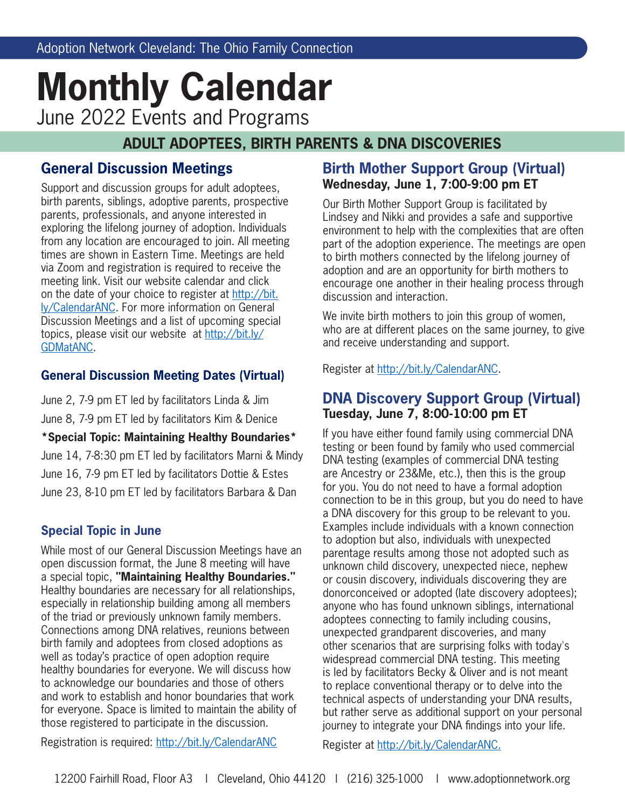# **Monthly Calendar** June 2022 Events and Programs

## **ADULT ADOPTEES, BIRTH PARENTS & DNA DISCOVERIES**

## **General Discussion Meetings**

Support and discussion groups for adult adoptees, birth parents, siblings, adoptive parents, prospective parents, professionals, and anyone interested in exploring the lifelong journey of adoption. Individuals from any location are encouraged to join. All meeting times are shown in Eastern Time. Meetings are held via Zoom and registration is required to receive the meeting link. Visit our website calendar and click on the date of your choice to register at http://bit. ly/CalendarANC. For more information on General Discussion Meetings and a list of upcoming special topics, please visit our website at http://bit.ly/ GDMatANC.

#### **General Discussion Meeting Dates (Virtual)**

June 2, 7-9 pm ET led by facilitators Linda & Jim June 8, 7-9 pm ET led by facilitators Kim & Denice **\*Special Topic: Maintaining Healthy Boundaries\*** June 14, 7-8:30 pm ET led by facilitators Marni & Mindy June 16, 7-9 pm ET led by facilitators Dottie & Estes June 23, 8-10 pm ET led by facilitators Barbara & Dan

## **Special Topic in June**

While most of our General Discussion Meetings have an open discussion format, the June 8 meeting will have a special topic, **"Maintaining Healthy Boundaries."** Healthy boundaries are necessary for all relationships, especially in relationship building among all members of the triad or previously unknown family members. Connections among DNA relatives, reunions between birth family and adoptees from closed adoptions as well as today's practice of open adoption require healthy boundaries for everyone. We will discuss how to acknowledge our boundaries and those of others and work to establish and honor boundaries that work for everyone. Space is limited to maintain the ability of those registered to participate in the discussion.

## **Birth Mother Support Group (Virtual) Wednesday, June 1, 7:00-9:00 pm ET**

Our Birth Mother Support Group is facilitated by Lindsey and Nikki and provides a safe and supportive environment to help with the complexities that are often part of the adoption experience. The meetings are open to birth mothers connected by the lifelong journey of adoption and are an opportunity for birth mothers to encourage one another in their healing process through discussion and interaction.

We invite birth mothers to join this group of women, who are at different places on the same journey, to give and receive understanding and support.

Register at http://bit.ly/CalendarANC.

## **DNA Discovery Support Group (Virtual) Tuesday, June 7, 8:00-10:00 pm ET**

If you have either found family using commercial DNA testing or been found by family who used commercial DNA testing (examples of commercial DNA testing are Ancestry or 23&Me, etc.), then this is the group for you. You do not need to have a formal adoption connection to be in this group, but you do need to have a DNA discovery for this group to be relevant to you. Examples include individuals with a known connection to adoption but also, individuals with unexpected parentage results among those not adopted such as unknown child discovery, unexpected niece, nephew or cousin discovery, individuals discovering they are donorconceived or adopted (late discovery adoptees); anyone who has found unknown siblings, international adoptees connecting to family including cousins, unexpected grandparent discoveries, and many other scenarios that are surprising folks with today's widespread commercial DNA testing. This meeting is led by facilitators Becky & Oliver and is not meant to replace conventional therapy or to delve into the technical aspects of understanding your DNA results, but rather serve as additional support on your personal journey to integrate your DNA findings into your life.

Register at http://bit.ly/CalendarANC.